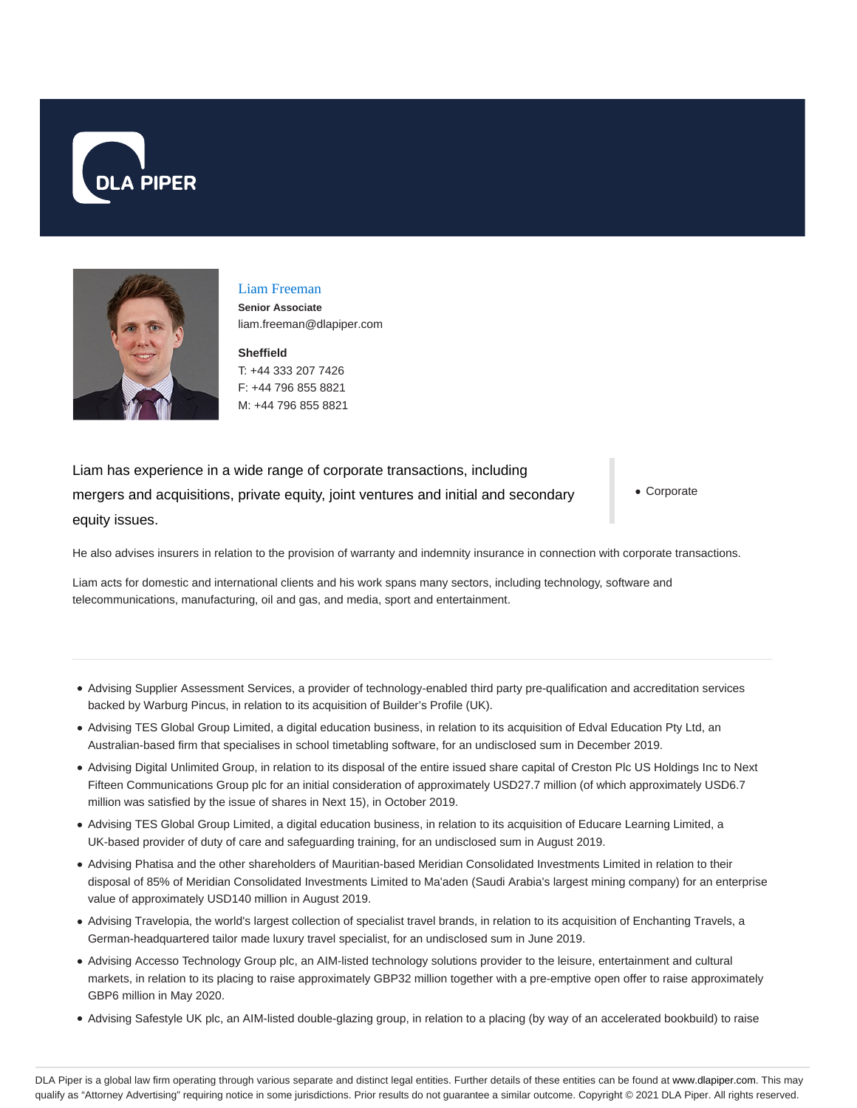



# Liam Freeman

**Senior Associate** liam.freeman@dlapiper.com

**Sheffield** T: +44 333 207 7426 F: +44 796 855 8821 M: +44 796 855 8821

Liam has experience in a wide range of corporate transactions, including mergers and acquisitions, private equity, joint ventures and initial and secondary equity issues.

Corporate

He also advises insurers in relation to the provision of warranty and indemnity insurance in connection with corporate transactions.

Liam acts for domestic and international clients and his work spans many sectors, including technology, software and telecommunications, manufacturing, oil and gas, and media, sport and entertainment.

- Advising Supplier Assessment Services, a provider of technology-enabled third party pre-qualification and accreditation services backed by Warburg Pincus, in relation to its acquisition of Builder's Profile (UK).
- Advising TES Global Group Limited, a digital education business, in relation to its acquisition of Edval Education Pty Ltd, an Australian-based firm that specialises in school timetabling software, for an undisclosed sum in December 2019.
- Advising Digital Unlimited Group, in relation to its disposal of the entire issued share capital of Creston Plc US Holdings Inc to Next Fifteen Communications Group plc for an initial consideration of approximately USD27.7 million (of which approximately USD6.7 million was satisfied by the issue of shares in Next 15), in October 2019.
- Advising TES Global Group Limited, a digital education business, in relation to its acquisition of Educare Learning Limited, a UK-based provider of duty of care and safeguarding training, for an undisclosed sum in August 2019.
- Advising Phatisa and the other shareholders of Mauritian-based Meridian Consolidated Investments Limited in relation to their disposal of 85% of Meridian Consolidated Investments Limited to Ma'aden (Saudi Arabia's largest mining company) for an enterprise value of approximately USD140 million in August 2019.
- Advising Travelopia, the world's largest collection of specialist travel brands, in relation to its acquisition of Enchanting Travels, a German-headquartered tailor made luxury travel specialist, for an undisclosed sum in June 2019.
- Advising Accesso Technology Group plc, an AIM-listed technology solutions provider to the leisure, entertainment and cultural markets, in relation to its placing to raise approximately GBP32 million together with a pre-emptive open offer to raise approximately GBP6 million in May 2020.
- Advising Safestyle UK plc, an AIM-listed double-glazing group, in relation to a placing (by way of an accelerated bookbuild) to raise